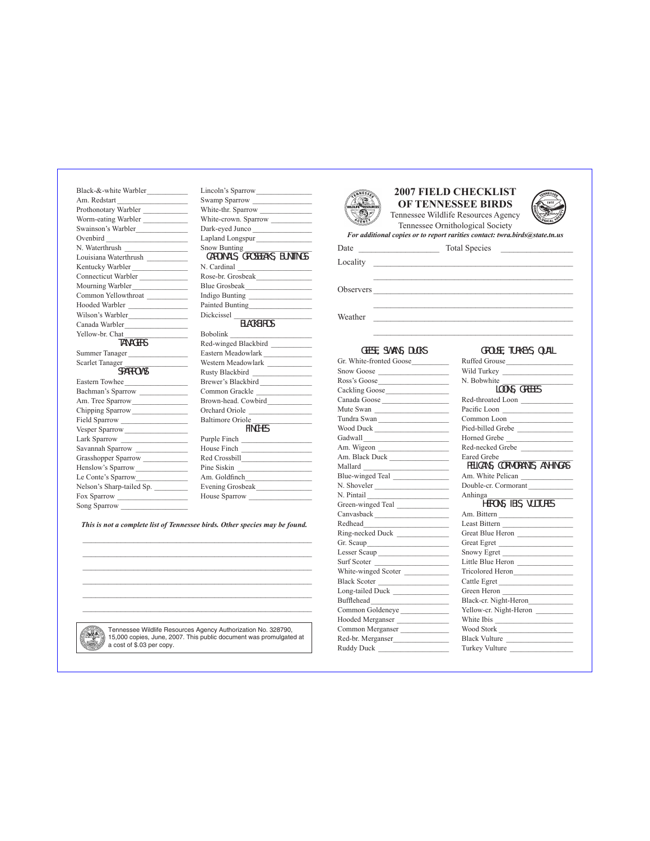Black-&-white Warbler Am. Redstart Prothonotary Warbler Worm-eating Warbler Swainson's Warbler Ovenbird N. Waterthrush Louisiana Waterthrush \_\_\_\_\_\_\_\_\_\_\_ Kentucky Warbler Connecticut Warbler Mourning Warbler Common Yellowthroat Hooded Warbler \_\_\_\_\_\_\_\_\_\_\_\_\_\_\_\_ Wilson's Warbler Canada Warbler\_\_\_\_\_\_\_\_\_\_\_\_\_\_\_\_\_ Yellow-br. Chat TANAGERS Summer Tanager \_\_\_\_\_\_\_\_\_\_\_\_\_\_\_\_ Scarlet Tanager SPARROWS Eastern Towhee\_\_\_\_\_\_\_\_\_\_\_\_\_\_\_\_\_ Bachman's Sparrow Am. Tree Sparrow\_\_\_\_\_\_\_\_\_\_\_\_\_\_\_ Chipping Sparrow Field Sparrow \_\_\_\_\_\_\_\_\_\_\_\_\_\_\_\_\_\_ Vesper Sparrow Lark Sparrow Savannah Sparrow Grasshopper Sparrow Henslow's Sparrow Le Conte's Sparrow Nelson's Sharp-tailed Sp. \_\_\_\_\_\_\_\_\_ Fox Sparrow Song Sparrow

*This is not a complete list of Tennessee birds. Other species may be found.*

 $\mathcal{L}_\text{max} = \mathcal{L}_\text{max} = \mathcal{L}_\text{max} = \mathcal{L}_\text{max} = \mathcal{L}_\text{max} = \mathcal{L}_\text{max} = \mathcal{L}_\text{max} = \mathcal{L}_\text{max} = \mathcal{L}_\text{max} = \mathcal{L}_\text{max} = \mathcal{L}_\text{max} = \mathcal{L}_\text{max} = \mathcal{L}_\text{max} = \mathcal{L}_\text{max} = \mathcal{L}_\text{max} = \mathcal{L}_\text{max} = \mathcal{L}_\text{max} = \mathcal{L}_\text{max} = \mathcal{$ 

 $\mathcal{L}_\text{max} = \mathcal{L}_\text{max} = \mathcal{L}_\text{max} = \mathcal{L}_\text{max} = \mathcal{L}_\text{max} = \mathcal{L}_\text{max} = \mathcal{L}_\text{max} = \mathcal{L}_\text{max} = \mathcal{L}_\text{max} = \mathcal{L}_\text{max} = \mathcal{L}_\text{max} = \mathcal{L}_\text{max} = \mathcal{L}_\text{max} = \mathcal{L}_\text{max} = \mathcal{L}_\text{max} = \mathcal{L}_\text{max} = \mathcal{L}_\text{max} = \mathcal{L}_\text{max} = \mathcal{$ 

| <b>NESSE</b>        |
|---------------------|
| <b>SOURCES</b><br>œ |
| $A_{GE}$            |
|                     |



Tennessee Ornithological Society *For additional copies or to report rarities contact: twra.birds@state.tn.us*

\_\_\_\_\_\_\_\_\_\_\_\_\_\_\_\_\_\_\_\_\_\_\_\_\_\_\_\_\_\_\_\_\_\_\_\_\_\_\_\_\_\_\_\_\_\_\_

\_\_\_\_\_\_\_\_\_\_\_\_\_\_\_\_\_\_\_\_\_\_\_\_\_\_\_\_\_\_\_\_\_\_\_\_\_\_\_\_\_\_\_\_\_\_\_

Locality

Date \_\_\_\_\_\_\_\_\_\_\_\_\_\_\_\_\_\_\_ Total Species \_\_\_\_\_\_\_\_\_\_\_\_\_\_\_\_\_

Observers

Weather  $\blacksquare$ 

## Geese, Swans, Ducks Gr. White-fronted Goose\_\_\_\_\_\_\_\_\_\_ Snow Goose Ross's Goose\_\_\_\_\_\_\_\_\_\_\_\_\_\_\_\_\_\_\_ Cackling Goose\_\_\_\_\_\_\_\_\_\_\_\_\_\_\_\_\_ Canada Goose \_\_\_\_\_\_\_\_\_\_\_\_\_\_\_\_\_\_ Mute Swan \_\_\_\_\_\_\_\_\_\_\_\_\_\_\_\_\_\_\_\_ Tundra Swan \_\_\_\_\_\_\_\_\_\_\_\_\_\_\_\_\_\_\_ Wood Duck \_\_\_\_\_\_\_\_\_\_\_\_\_\_\_\_\_\_\_\_ Gadwall  $\overline{\phantom{a}}$ Am. Wigeon \_\_\_\_\_\_\_\_\_\_\_\_\_\_\_\_\_\_\_ Am. Black Duck \_\_\_\_\_\_\_\_\_\_\_\_\_\_\_\_ Mallard \_\_\_\_\_\_\_\_\_\_\_\_\_\_\_\_\_\_\_\_\_\_\_ Blue-winged Teal N. Shoveler N. Pintail Green-winged Teal Canvasback \_\_\_\_\_\_\_\_\_\_\_\_\_\_\_\_\_\_\_\_ Redhead\_\_\_\_\_\_\_\_\_\_\_\_\_\_\_\_\_\_\_\_\_\_\_ Ring-necked Duck Gr. Scaup\_\_\_\_\_\_\_\_\_\_\_\_\_\_\_\_\_\_\_\_\_\_ Lesser Scaup \_\_\_\_\_\_\_\_\_\_\_\_\_\_\_\_\_\_\_ Surf Scoter \_ White-winged Scoter Black Scoter \_\_\_\_\_\_\_\_\_\_\_\_\_\_\_\_\_\_\_ Long-tailed Duck \_\_\_\_\_\_\_\_\_\_\_\_\_\_\_ Bufflehead Common Goldeneye Hooded Merganser \_\_\_\_\_\_\_\_\_\_\_\_\_\_ Common Merganser Red-br. Merganser\_\_\_\_\_\_\_\_\_\_\_\_\_\_\_ Ruddy Duck \_\_\_\_\_\_\_\_\_\_\_\_\_\_\_\_\_\_\_ Grouse, Turkeys, Quail Ruffed Grouse\_\_\_\_\_\_\_\_\_\_\_\_\_\_\_\_\_\_ Wild Turkey \_\_\_\_\_\_\_\_\_\_\_\_\_\_\_\_\_\_\_ N. Bobwhite LOONS, GREBES Red-throated Loon Pacific Loon Common Loon Pied-billed Grebe Horned Grebe Red-necked Grebe Eared Grebe Pelicans, Cormorants, Anhingas Am. White Pelican Double-cr. Cormorant Anhinga\_\_\_\_\_\_\_\_\_\_\_\_\_\_\_\_\_\_\_\_\_\_\_ Herons, Ibis, Vultures Am. Bittern \_\_\_\_\_\_\_\_\_\_\_\_\_\_\_\_\_\_\_\_ Least Bittern Great Blue Heron Great Egret Snowy Egret Little Blue Heron Tricolored Heron\_\_\_\_\_\_\_\_\_\_\_\_\_\_\_\_ Cattle Egret Green Heron \_\_\_\_\_\_\_\_\_\_\_\_\_\_\_\_\_\_\_ Black-cr. Night-Heron\_ Yellow-cr. Night-Heron White Ibis \_\_\_\_\_\_\_\_\_\_\_\_\_\_\_\_\_\_\_\_\_ Wood Stork \_\_\_\_\_\_\_\_\_\_\_\_\_\_\_\_\_\_\_\_ Black Vulture Turkey Vulture



Tennessee Wildlife Resources Agency Authorization No. 328790, 15,000 copies, June, 2007. This public document was promulgated at a cost of \$.03 per copy.